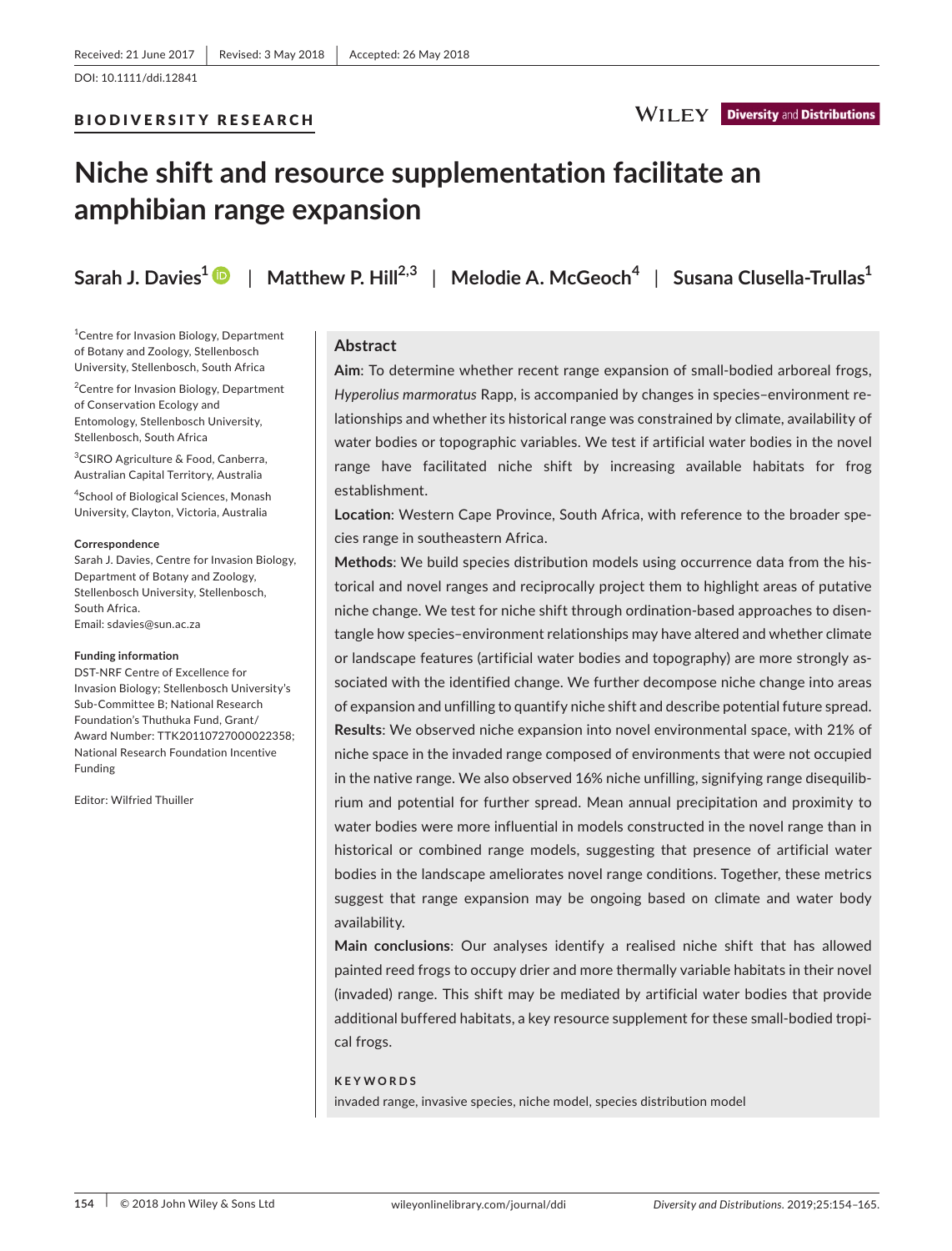# BIODIVERSITY RESEARCH

**WILEY** Diversity and Distributions

# **Niche shift and resource supplementation facilitate an amphibian range expansion**

**Sarah J. Davies1** | **Matthew P. Hill2,3** | **Melodie A. McGeoch<sup>4</sup>** | **Susana Clusella-Trullas<sup>1</sup>**

<sup>1</sup> Centre for Invasion Biology, Department of Botany and Zoology, Stellenbosch University, Stellenbosch, South Africa

2 Centre for Invasion Biology, Department of Conservation Ecology and Entomology, Stellenbosch University, Stellenbosch, South Africa

3 CSIRO Agriculture & Food, Canberra, Australian Capital Territory, Australia

4 School of Biological Sciences, Monash University, Clayton, Victoria, Australia

#### **Correspondence**

Sarah J. Davies, Centre for Invasion Biology, Department of Botany and Zoology, Stellenbosch University, Stellenbosch, South Africa. Email: [sdavies@sun.ac.za](mailto:sdavies@sun.ac.za)

#### **Funding information**

DST-NRF Centre of Excellence for Invasion Biology; Stellenbosch University's Sub-Committee B; National Research Foundation's Thuthuka Fund, Grant/ Award Number: TTK20110727000022358; National Research Foundation Incentive Funding

Editor: Wilfried Thuiller

# **Abstract**

**Aim**: To determine whether recent range expansion of small-bodied arboreal frogs, *Hyperolius marmoratus* Rapp, is accompanied by changes in species–environment relationships and whether its historical range was constrained by climate, availability of water bodies or topographic variables. We test if artificial water bodies in the novel range have facilitated niche shift by increasing available habitats for frog establishment.

**Location**: Western Cape Province, South Africa, with reference to the broader species range in southeastern Africa.

**Methods**: We build species distribution models using occurrence data from the historical and novel ranges and reciprocally project them to highlight areas of putative niche change. We test for niche shift through ordination-based approaches to disentangle how species–environment relationships may have altered and whether climate or landscape features (artificial water bodies and topography) are more strongly associated with the identified change. We further decompose niche change into areas of expansion and unfilling to quantify niche shift and describe potential future spread. **Results**: We observed niche expansion into novel environmental space, with 21% of niche space in the invaded range composed of environments that were not occupied in the native range. We also observed 16% niche unfilling, signifying range disequilibrium and potential for further spread. Mean annual precipitation and proximity to water bodies were more influential in models constructed in the novel range than in historical or combined range models, suggesting that presence of artificial water bodies in the landscape ameliorates novel range conditions. Together, these metrics suggest that range expansion may be ongoing based on climate and water body availability.

**Main conclusions**: Our analyses identify a realised niche shift that has allowed painted reed frogs to occupy drier and more thermally variable habitats in their novel (invaded) range. This shift may be mediated by artificial water bodies that provide additional buffered habitats, a key resource supplement for these small-bodied tropical frogs.

# **KEYWORDS**

invaded range, invasive species, niche model, species distribution model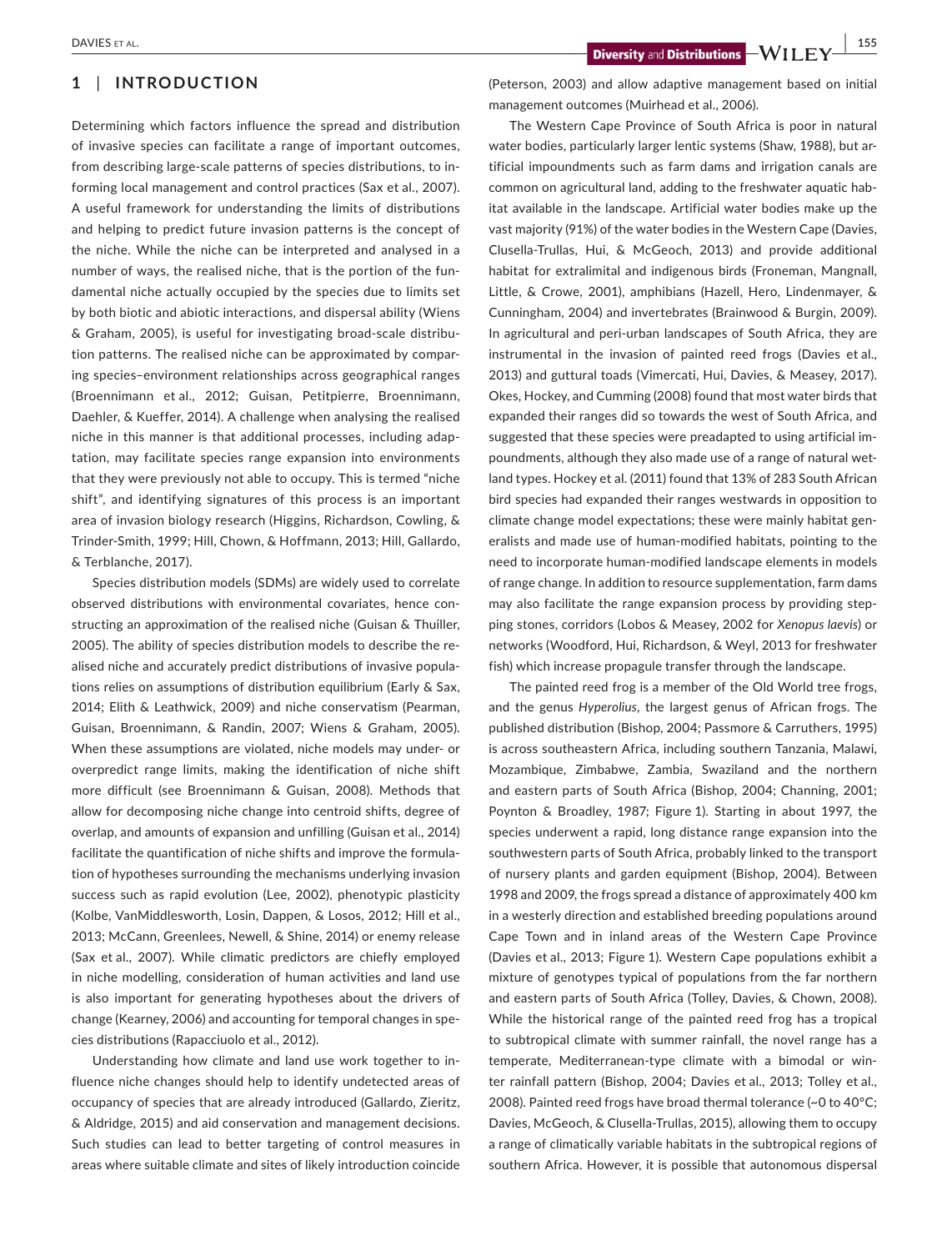# **1** | **INTRODUCTION**

Determining which factors influence the spread and distribution of invasive species can facilitate a range of important outcomes, from describing large-scale patterns of species distributions, to informing local management and control practices (Sax et al., 2007). A useful framework for understanding the limits of distributions and helping to predict future invasion patterns is the concept of the niche. While the niche can be interpreted and analysed in a number of ways, the realised niche, that is the portion of the fundamental niche actually occupied by the species due to limits set by both biotic and abiotic interactions, and dispersal ability (Wiens & Graham, 2005), is useful for investigating broad-scale distribution patterns. The realised niche can be approximated by comparing species–environment relationships across geographical ranges (Broennimann et al., 2012; Guisan, Petitpierre, Broennimann, Daehler, & Kueffer, 2014). A challenge when analysing the realised niche in this manner is that additional processes, including adaptation, may facilitate species range expansion into environments that they were previously not able to occupy. This is termed "niche shift", and identifying signatures of this process is an important area of invasion biology research (Higgins, Richardson, Cowling, & Trinder-Smith, 1999; Hill, Chown, & Hoffmann, 2013; Hill, Gallardo, & Terblanche, 2017).

Species distribution models (SDMs) are widely used to correlate observed distributions with environmental covariates, hence constructing an approximation of the realised niche (Guisan & Thuiller, 2005). The ability of species distribution models to describe the realised niche and accurately predict distributions of invasive populations relies on assumptions of distribution equilibrium (Early & Sax, 2014; Elith & Leathwick, 2009) and niche conservatism (Pearman, Guisan, Broennimann, & Randin, 2007; Wiens & Graham, 2005). When these assumptions are violated, niche models may under- or overpredict range limits, making the identification of niche shift more difficult (see Broennimann & Guisan, 2008). Methods that allow for decomposing niche change into centroid shifts, degree of overlap, and amounts of expansion and unfilling (Guisan et al., 2014) facilitate the quantification of niche shifts and improve the formulation of hypotheses surrounding the mechanisms underlying invasion success such as rapid evolution (Lee, 2002), phenotypic plasticity (Kolbe, VanMiddlesworth, Losin, Dappen, & Losos, 2012; Hill et al., 2013; McCann, Greenlees, Newell, & Shine, 2014) or enemy release (Sax et al., 2007). While climatic predictors are chiefly employed in niche modelling, consideration of human activities and land use is also important for generating hypotheses about the drivers of change (Kearney, 2006) and accounting for temporal changes in species distributions (Rapacciuolo et al., 2012).

Understanding how climate and land use work together to influence niche changes should help to identify undetected areas of occupancy of species that are already introduced (Gallardo, Zieritz, & Aldridge, 2015) and aid conservation and management decisions. Such studies can lead to better targeting of control measures in areas where suitable climate and sites of likely introduction coincide (Peterson, 2003) and allow adaptive management based on initial management outcomes (Muirhead et al., 2006).

The Western Cape Province of South Africa is poor in natural water bodies, particularly larger lentic systems (Shaw, 1988), but artificial impoundments such as farm dams and irrigation canals are common on agricultural land, adding to the freshwater aquatic habitat available in the landscape. Artificial water bodies make up the vast majority (91%) of the water bodies in the Western Cape (Davies, Clusella-Trullas, Hui, & McGeoch, 2013) and provide additional habitat for extralimital and indigenous birds (Froneman, Mangnall, Little, & Crowe, 2001), amphibians (Hazell, Hero, Lindenmayer, & Cunningham, 2004) and invertebrates (Brainwood & Burgin, 2009). In agricultural and peri-urban landscapes of South Africa, they are instrumental in the invasion of painted reed frogs (Davies et al., 2013) and guttural toads (Vimercati, Hui, Davies, & Measey, 2017). Okes, Hockey, and Cumming (2008) found that most water birds that expanded their ranges did so towards the west of South Africa, and suggested that these species were preadapted to using artificial impoundments, although they also made use of a range of natural wetland types. Hockey et al. (2011) found that 13% of 283 South African bird species had expanded their ranges westwards in opposition to climate change model expectations; these were mainly habitat generalists and made use of human-modified habitats, pointing to the need to incorporate human-modified landscape elements in models of range change. In addition to resource supplementation, farm dams may also facilitate the range expansion process by providing stepping stones, corridors (Lobos & Measey, 2002 for *Xenopus laevis*) or networks (Woodford, Hui, Richardson, & Weyl, 2013 for freshwater fish) which increase propagule transfer through the landscape.

The painted reed frog is a member of the Old World tree frogs, and the genus *Hyperolius*, the largest genus of African frogs. The published distribution (Bishop, 2004; Passmore & Carruthers, 1995) is across southeastern Africa, including southern Tanzania, Malawi, Mozambique, Zimbabwe, Zambia, Swaziland and the northern and eastern parts of South Africa (Bishop, 2004; Channing, 2001; Poynton & Broadley, 1987; Figure 1). Starting in about 1997, the species underwent a rapid, long distance range expansion into the southwestern parts of South Africa, probably linked to the transport of nursery plants and garden equipment (Bishop, 2004). Between 1998 and 2009, the frogs spread a distance of approximately 400 km in a westerly direction and established breeding populations around Cape Town and in inland areas of the Western Cape Province (Davies et al., 2013; Figure 1). Western Cape populations exhibit a mixture of genotypes typical of populations from the far northern and eastern parts of South Africa (Tolley, Davies, & Chown, 2008). While the historical range of the painted reed frog has a tropical to subtropical climate with summer rainfall, the novel range has a temperate, Mediterranean-type climate with a bimodal or winter rainfall pattern (Bishop, 2004; Davies et al., 2013; Tolley et al., 2008). Painted reed frogs have broad thermal tolerance (~0 to 40°C; Davies, McGeoch, & Clusella-Trullas, 2015), allowing them to occupy a range of climatically variable habitats in the subtropical regions of southern Africa. However, it is possible that autonomous dispersal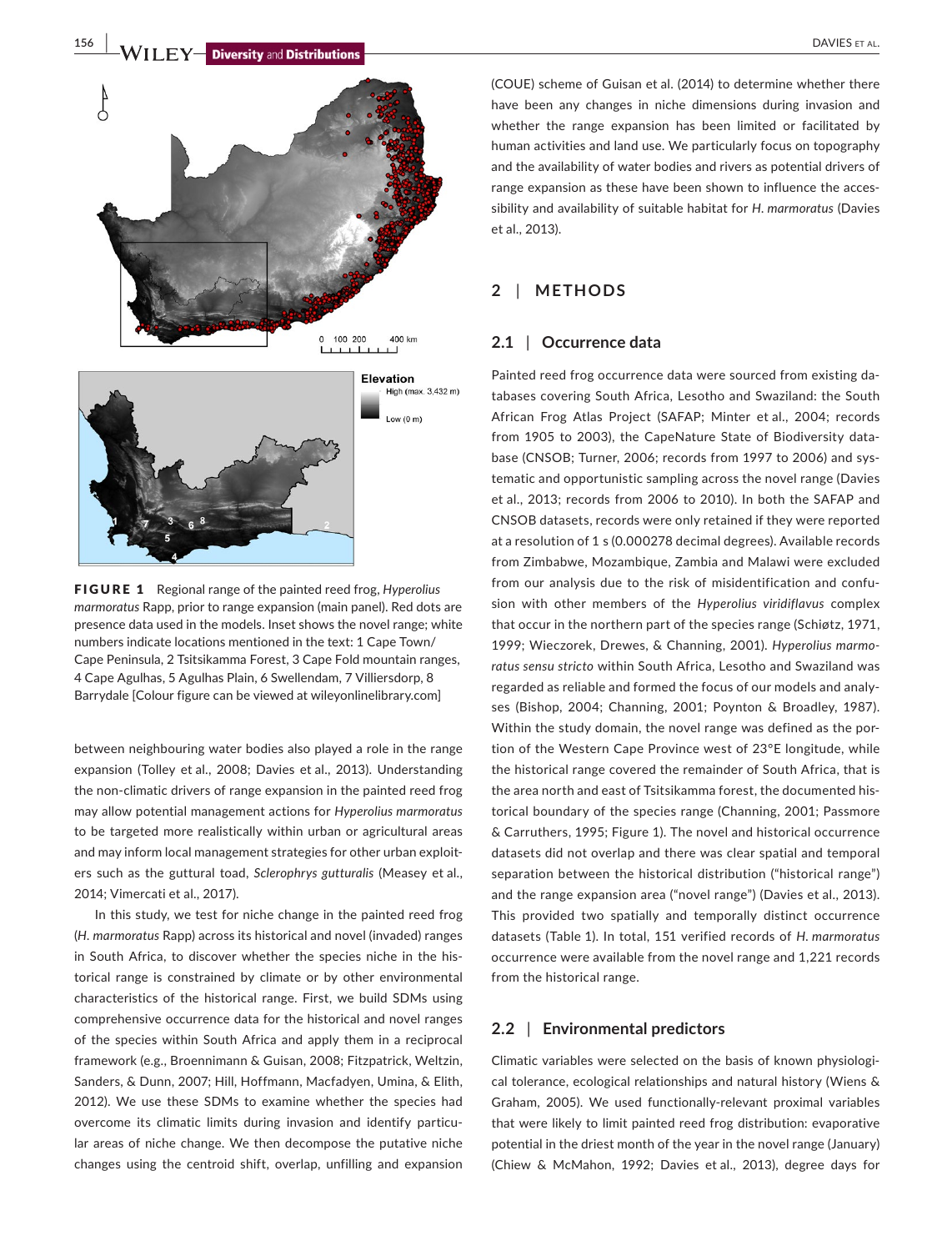



FIGURE 1 Regional range of the painted reed frog, *Hyperolius marmoratus* Rapp, prior to range expansion (main panel). Red dots are presence data used in the models. Inset shows the novel range; white numbers indicate locations mentioned in the text: 1 Cape Town/ Cape Peninsula, 2 Tsitsikamma Forest, 3 Cape Fold mountain ranges, 4 Cape Agulhas, 5 Agulhas Plain, 6 Swellendam, 7 Villiersdorp, 8 Barrydale [Colour figure can be viewed at [wileyonlinelibrary.com\]](www.wileyonlinelibrary.com)

between neighbouring water bodies also played a role in the range expansion (Tolley et al., 2008; Davies et al., 2013). Understanding the non-climatic drivers of range expansion in the painted reed frog may allow potential management actions for *Hyperolius marmoratus* to be targeted more realistically within urban or agricultural areas and may inform local management strategies for other urban exploiters such as the guttural toad, *Sclerophrys gutturalis* (Measey et al., 2014; Vimercati et al., 2017).

In this study, we test for niche change in the painted reed frog (*H. marmoratus* Rapp) across its historical and novel (invaded) ranges in South Africa, to discover whether the species niche in the historical range is constrained by climate or by other environmental characteristics of the historical range. First, we build SDMs using comprehensive occurrence data for the historical and novel ranges of the species within South Africa and apply them in a reciprocal framework (e.g., Broennimann & Guisan, 2008; Fitzpatrick, Weltzin, Sanders, & Dunn, 2007; Hill, Hoffmann, Macfadyen, Umina, & Elith, 2012). We use these SDMs to examine whether the species had overcome its climatic limits during invasion and identify particular areas of niche change. We then decompose the putative niche changes using the centroid shift, overlap, unfilling and expansion

(COUE) scheme of Guisan et al. (2014) to determine whether there have been any changes in niche dimensions during invasion and whether the range expansion has been limited or facilitated by human activities and land use. We particularly focus on topography and the availability of water bodies and rivers as potential drivers of range expansion as these have been shown to influence the accessibility and availability of suitable habitat for *H. marmoratus* (Davies et al., 2013).

# **2** | **METHODS**

# **2.1** | **Occurrence data**

Painted reed frog occurrence data were sourced from existing databases covering South Africa, Lesotho and Swaziland: the South African Frog Atlas Project (SAFAP; Minter et al., 2004; records from 1905 to 2003), the CapeNature State of Biodiversity database (CNSOB; Turner, 2006; records from 1997 to 2006) and systematic and opportunistic sampling across the novel range (Davies et al., 2013; records from 2006 to 2010). In both the SAFAP and CNSOB datasets, records were only retained if they were reported at a resolution of 1 s (0.000278 decimal degrees). Available records from Zimbabwe, Mozambique, Zambia and Malawi were excluded from our analysis due to the risk of misidentification and confusion with other members of the *Hyperolius viridiflavus* complex that occur in the northern part of the species range (Schiøtz, 1971, 1999; Wieczorek, Drewes, & Channing, 2001). *Hyperolius marmoratus sensu stricto* within South Africa, Lesotho and Swaziland was regarded as reliable and formed the focus of our models and analyses (Bishop, 2004; Channing, 2001; Poynton & Broadley, 1987). Within the study domain, the novel range was defined as the portion of the Western Cape Province west of 23°E longitude, while the historical range covered the remainder of South Africa, that is the area north and east of Tsitsikamma forest, the documented historical boundary of the species range (Channing, 2001; Passmore & Carruthers, 1995; Figure 1). The novel and historical occurrence datasets did not overlap and there was clear spatial and temporal separation between the historical distribution ("historical range") and the range expansion area ("novel range") (Davies et al., 2013). This provided two spatially and temporally distinct occurrence datasets (Table 1). In total, 151 verified records of *H. marmoratus* occurrence were available from the novel range and 1,221 records from the historical range.

# **2.2** | **Environmental predictors**

Climatic variables were selected on the basis of known physiological tolerance, ecological relationships and natural history (Wiens & Graham, 2005). We used functionally-relevant proximal variables that were likely to limit painted reed frog distribution: evaporative potential in the driest month of the year in the novel range (January) (Chiew & McMahon, 1992; Davies et al., 2013), degree days for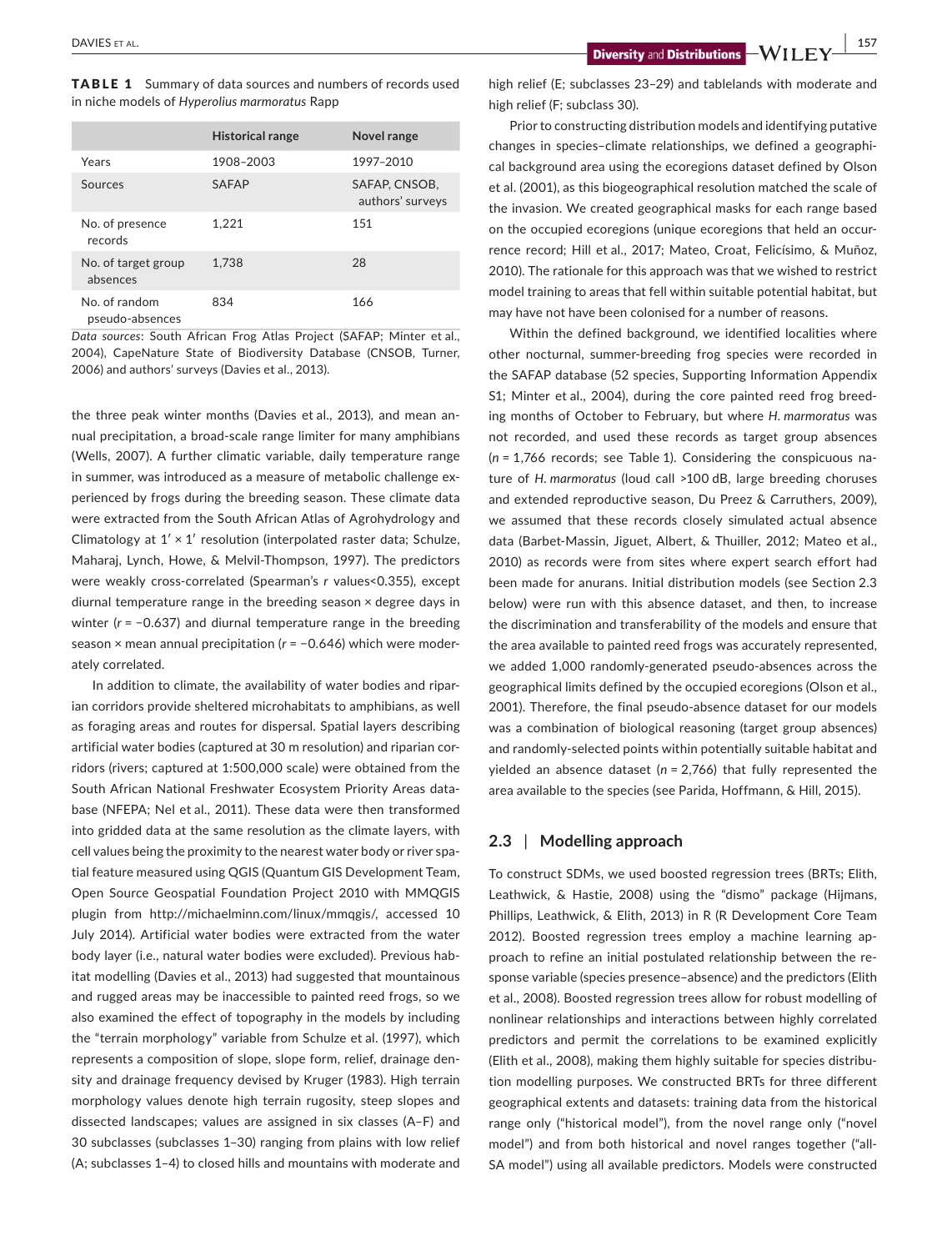TABLE 1 Summary of data sources and numbers of records used in niche models of *Hyperolius marmoratus* Rapp

|                                  | <b>Historical range</b> | Novel range                       |
|----------------------------------|-------------------------|-----------------------------------|
| Years                            | 1908-2003               | 1997-2010                         |
| Sources                          | <b>SAFAP</b>            | SAFAP, CNSOB,<br>authors' surveys |
| No. of presence<br>records       | 1,221                   | 151                               |
| No. of target group<br>absences  | 1.738                   | 28                                |
| No. of random<br>pseudo-absences | 834                     | 166                               |

*Data sources*: South African Frog Atlas Project (SAFAP; Minter et al., 2004), CapeNature State of Biodiversity Database (CNSOB, Turner, 2006) and authors' surveys (Davies et al., 2013).

the three peak winter months (Davies et al., 2013), and mean annual precipitation, a broad-scale range limiter for many amphibians (Wells, 2007). A further climatic variable, daily temperature range in summer, was introduced as a measure of metabolic challenge experienced by frogs during the breeding season. These climate data were extracted from the South African Atlas of Agrohydrology and Climatology at  $1' \times 1'$  resolution (interpolated raster data; Schulze, Maharaj, Lynch, Howe, & Melvil-Thompson, 1997). The predictors were weakly cross-correlated (Spearman's *r* values<0.355), except diurnal temperature range in the breeding season × degree days in winter (*r* = −0.637) and diurnal temperature range in the breeding season × mean annual precipitation (*r* = −0.646) which were moderately correlated.

In addition to climate, the availability of water bodies and riparian corridors provide sheltered microhabitats to amphibians, as well as foraging areas and routes for dispersal. Spatial layers describing artificial water bodies (captured at 30 m resolution) and riparian corridors (rivers; captured at 1:500,000 scale) were obtained from the South African National Freshwater Ecosystem Priority Areas database (NFEPA; Nel et al., 2011). These data were then transformed into gridded data at the same resolution as the climate layers, with cell values being the proximity to the nearest water body or river spatial feature measured using QGIS (Quantum GIS Development Team, Open Source Geospatial Foundation Project 2010 with MMQGIS plugin from [http://michaelminn.com/linux/mmqgis/,](http://michaelminn.com/linux/mmqgis/) accessed 10 July 2014). Artificial water bodies were extracted from the water body layer (i.e., natural water bodies were excluded). Previous habitat modelling (Davies et al., 2013) had suggested that mountainous and rugged areas may be inaccessible to painted reed frogs, so we also examined the effect of topography in the models by including the "terrain morphology" variable from Schulze et al. (1997), which represents a composition of slope, slope form, relief, drainage density and drainage frequency devised by Kruger (1983). High terrain morphology values denote high terrain rugosity, steep slopes and dissected landscapes; values are assigned in six classes (A–F) and 30 subclasses (subclasses 1–30) ranging from plains with low relief (A; subclasses 1–4) to closed hills and mountains with moderate and high relief (E; subclasses 23-29) and tablelands with moderate and high relief (F; subclass 30).

Prior to constructing distribution models and identifying putative changes in species–climate relationships, we defined a geographical background area using the ecoregions dataset defined by Olson et al. (2001), as this biogeographical resolution matched the scale of the invasion. We created geographical masks for each range based on the occupied ecoregions (unique ecoregions that held an occurrence record; Hill et al., 2017; Mateo, Croat, Felicísimo, & Muñoz, 2010). The rationale for this approach was that we wished to restrict model training to areas that fell within suitable potential habitat, but may have not have been colonised for a number of reasons.

Within the defined background, we identified localities where other nocturnal, summer-breeding frog species were recorded in the SAFAP database (52 species, Supporting Information Appendix S1; Minter et al., 2004), during the core painted reed frog breeding months of October to February, but where *H. marmoratus* was not recorded, and used these records as target group absences (*n* = 1,766 records; see Table 1). Considering the conspicuous nature of *H. marmoratus* (loud call >100 dB, large breeding choruses and extended reproductive season, Du Preez & Carruthers, 2009), we assumed that these records closely simulated actual absence data (Barbet-Massin, Jiguet, Albert, & Thuiller, 2012; Mateo et al., 2010) as records were from sites where expert search effort had been made for anurans. Initial distribution models (see Section 2.3 below) were run with this absence dataset, and then, to increase the discrimination and transferability of the models and ensure that the area available to painted reed frogs was accurately represented, we added 1,000 randomly-generated pseudo-absences across the geographical limits defined by the occupied ecoregions (Olson et al., 2001). Therefore, the final pseudo-absence dataset for our models was a combination of biological reasoning (target group absences) and randomly-selected points within potentially suitable habitat and yielded an absence dataset (*n* = 2,766) that fully represented the area available to the species (see Parida, Hoffmann, & Hill, 2015).

# **2.3** | **Modelling approach**

To construct SDMs, we used boosted regression trees (BRTs; Elith, Leathwick, & Hastie, 2008) using the "dismo" package (Hijmans, Phillips, Leathwick, & Elith, 2013) in R (R Development Core Team 2012). Boosted regression trees employ a machine learning approach to refine an initial postulated relationship between the response variable (species presence–absence) and the predictors (Elith et al., 2008). Boosted regression trees allow for robust modelling of nonlinear relationships and interactions between highly correlated predictors and permit the correlations to be examined explicitly (Elith et al., 2008), making them highly suitable for species distribution modelling purposes. We constructed BRTs for three different geographical extents and datasets: training data from the historical range only ("historical model"), from the novel range only ("novel model") and from both historical and novel ranges together ("all-SA model") using all available predictors. Models were constructed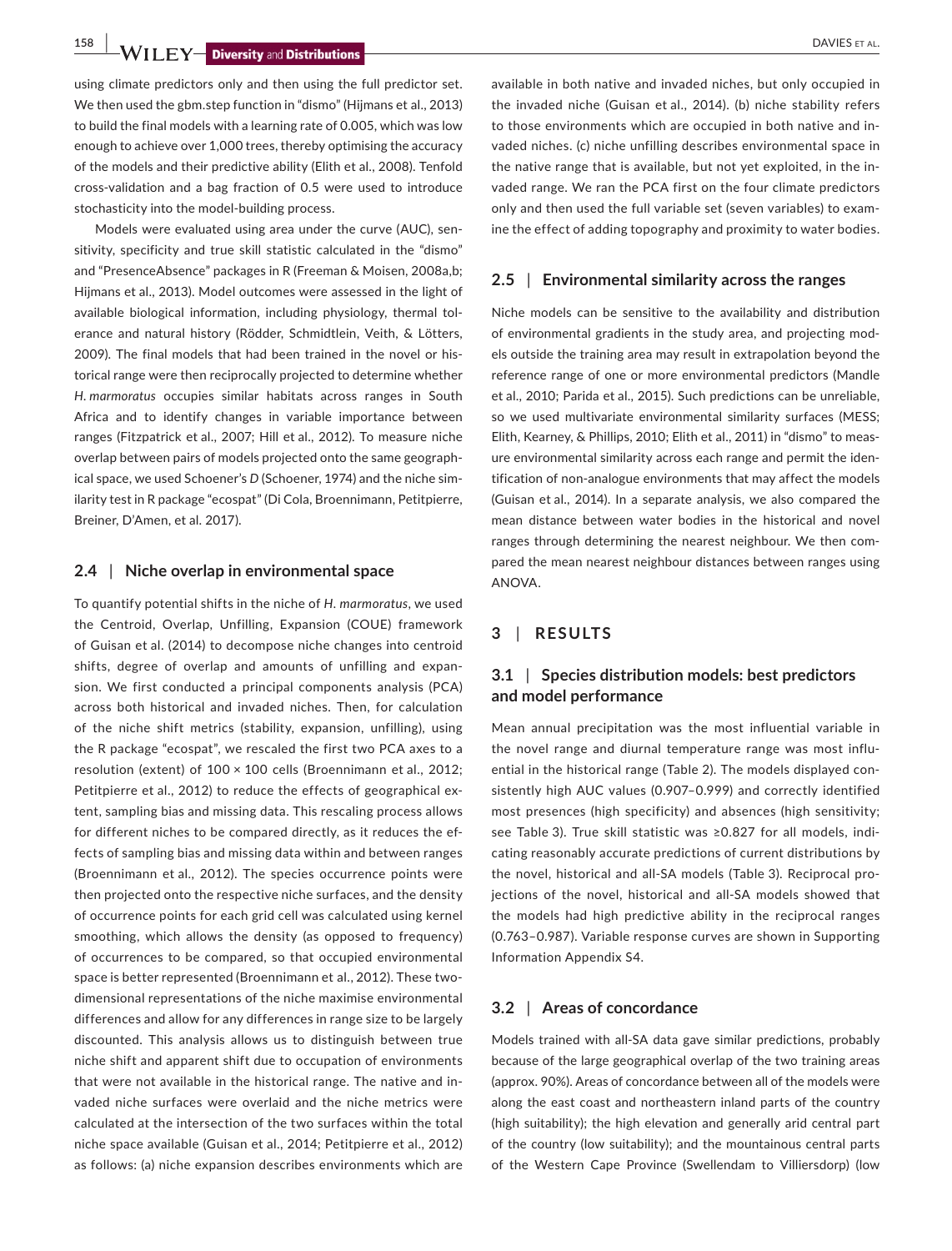**158 WILEY-Diversity** and **Distributions** 

using climate predictors only and then using the full predictor set. We then used the gbm.step function in "dismo" (Hijmans et al., 2013) to build the final models with a learning rate of 0.005, which was low enough to achieve over 1,000 trees, thereby optimising the accuracy of the models and their predictive ability (Elith et al., 2008). Tenfold cross-validation and a bag fraction of 0.5 were used to introduce stochasticity into the model-building process.

Models were evaluated using area under the curve (AUC), sensitivity, specificity and true skill statistic calculated in the "dismo" and "PresenceAbsence" packages in R (Freeman & Moisen, 2008a,b; Hijmans et al., 2013). Model outcomes were assessed in the light of available biological information, including physiology, thermal tolerance and natural history (Rödder, Schmidtlein, Veith, & Lötters, 2009). The final models that had been trained in the novel or historical range were then reciprocally projected to determine whether *H. marmoratus* occupies similar habitats across ranges in South Africa and to identify changes in variable importance between ranges (Fitzpatrick et al., 2007; Hill et al., 2012). To measure niche overlap between pairs of models projected onto the same geographical space, we used Schoener's *D* (Schoener, 1974) and the niche similarity test in R package "ecospat" (Di Cola, Broennimann, Petitpierre, Breiner, D'Amen, et al. 2017).

# **2.4** | **Niche overlap in environmental space**

To quantify potential shifts in the niche of *H. marmoratus*, we used the Centroid, Overlap, Unfilling, Expansion (COUE) framework of Guisan et al. (2014) to decompose niche changes into centroid shifts, degree of overlap and amounts of unfilling and expansion. We first conducted a principal components analysis (PCA) across both historical and invaded niches. Then, for calculation of the niche shift metrics (stability, expansion, unfilling), using the R package "ecospat", we rescaled the first two PCA axes to a resolution (extent) of 100 × 100 cells (Broennimann et al., 2012; Petitpierre et al., 2012) to reduce the effects of geographical extent, sampling bias and missing data. This rescaling process allows for different niches to be compared directly, as it reduces the effects of sampling bias and missing data within and between ranges (Broennimann et al., 2012). The species occurrence points were then projected onto the respective niche surfaces, and the density of occurrence points for each grid cell was calculated using kernel smoothing, which allows the density (as opposed to frequency) of occurrences to be compared, so that occupied environmental space is better represented (Broennimann et al., 2012). These twodimensional representations of the niche maximise environmental differences and allow for any differences in range size to be largely discounted. This analysis allows us to distinguish between true niche shift and apparent shift due to occupation of environments that were not available in the historical range. The native and invaded niche surfaces were overlaid and the niche metrics were calculated at the intersection of the two surfaces within the total niche space available (Guisan et al., 2014; Petitpierre et al., 2012) as follows: (a) niche expansion describes environments which are

available in both native and invaded niches, but only occupied in the invaded niche (Guisan et al., 2014). (b) niche stability refers to those environments which are occupied in both native and invaded niches. (c) niche unfilling describes environmental space in the native range that is available, but not yet exploited, in the invaded range. We ran the PCA first on the four climate predictors only and then used the full variable set (seven variables) to examine the effect of adding topography and proximity to water bodies.

# **2.5** | **Environmental similarity across the ranges**

Niche models can be sensitive to the availability and distribution of environmental gradients in the study area, and projecting models outside the training area may result in extrapolation beyond the reference range of one or more environmental predictors (Mandle et al., 2010; Parida et al., 2015). Such predictions can be unreliable, so we used multivariate environmental similarity surfaces (MESS; Elith, Kearney, & Phillips, 2010; Elith et al., 2011) in "dismo" to measure environmental similarity across each range and permit the identification of non-analogue environments that may affect the models (Guisan et al., 2014). In a separate analysis, we also compared the mean distance between water bodies in the historical and novel ranges through determining the nearest neighbour. We then compared the mean nearest neighbour distances between ranges using ANOVA.

# **3** | **RESULTS**

# **3.1** | **Species distribution models: best predictors and model performance**

Mean annual precipitation was the most influential variable in the novel range and diurnal temperature range was most influential in the historical range (Table 2). The models displayed consistently high AUC values (0.907–0.999) and correctly identified most presences (high specificity) and absences (high sensitivity; see Table 3). True skill statistic was ≥0.827 for all models, indicating reasonably accurate predictions of current distributions by the novel, historical and all-SA models (Table 3). Reciprocal projections of the novel, historical and all-SA models showed that the models had high predictive ability in the reciprocal ranges (0.763–0.987). Variable response curves are shown in Supporting Information Appendix S4.

# **3.2** | **Areas of concordance**

Models trained with all-SA data gave similar predictions, probably because of the large geographical overlap of the two training areas (approx. 90%). Areas of concordance between all of the models were along the east coast and northeastern inland parts of the country (high suitability); the high elevation and generally arid central part of the country (low suitability); and the mountainous central parts of the Western Cape Province (Swellendam to Villiersdorp) (low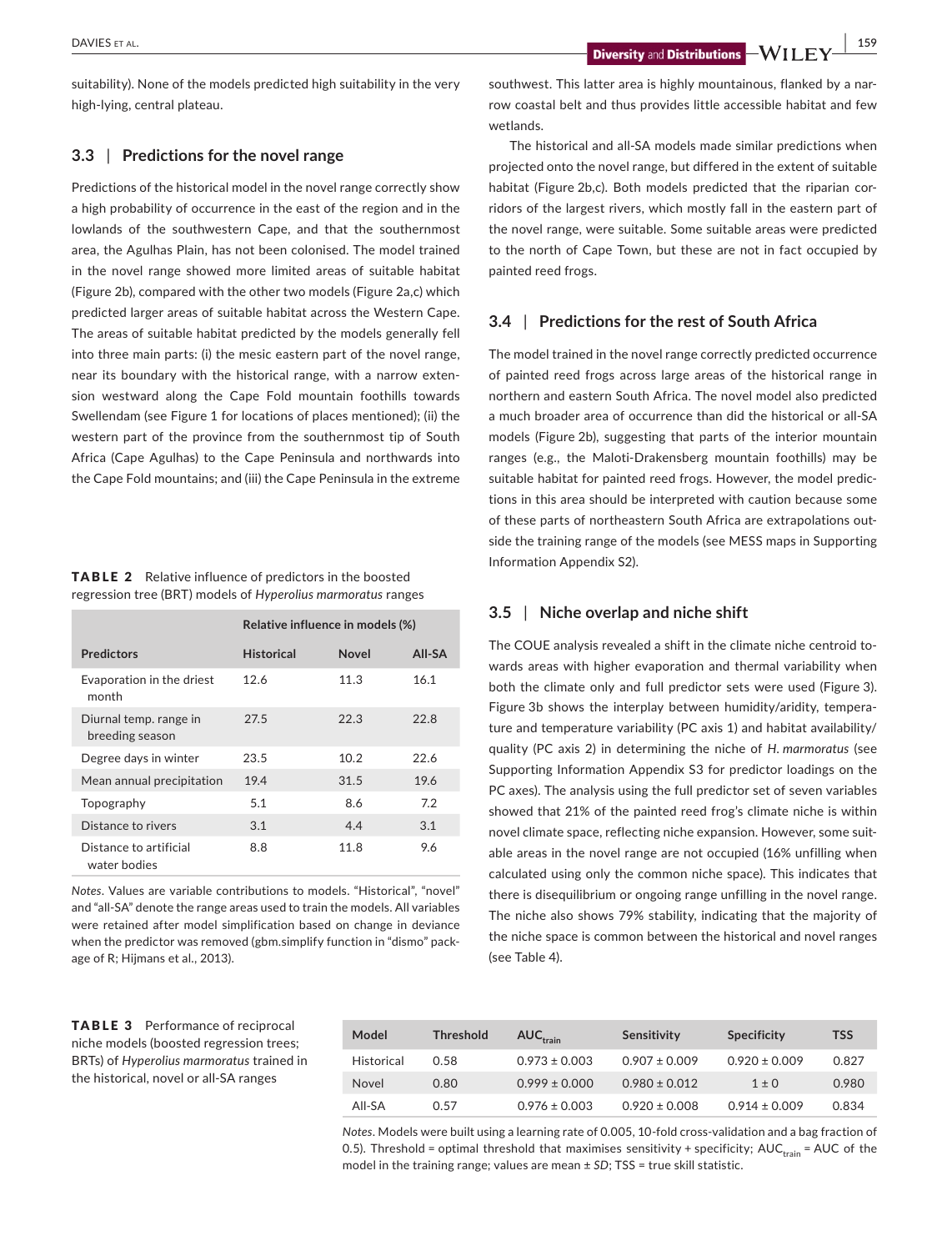**|** DAVIES et al. **159**

# **3.3** | **Predictions for the novel range**

Predictions of the historical model in the novel range correctly show a high probability of occurrence in the east of the region and in the lowlands of the southwestern Cape, and that the southernmost area, the Agulhas Plain, has not been colonised. The model trained in the novel range showed more limited areas of suitable habitat (Figure 2b), compared with the other two models (Figure 2a,c) which predicted larger areas of suitable habitat across the Western Cape. The areas of suitable habitat predicted by the models generally fell into three main parts: (i) the mesic eastern part of the novel range, near its boundary with the historical range, with a narrow extension westward along the Cape Fold mountain foothills towards Swellendam (see Figure 1 for locations of places mentioned); (ii) the western part of the province from the southernmost tip of South Africa (Cape Agulhas) to the Cape Peninsula and northwards into the Cape Fold mountains; and (iii) the Cape Peninsula in the extreme

TABLE 2 Relative influence of predictors in the boosted regression tree (BRT) models of *Hyperolius marmoratus* ranges

|                                           | Relative influence in models (%) |                   |        |
|-------------------------------------------|----------------------------------|-------------------|--------|
| <b>Predictors</b>                         | <b>Historical</b>                | <b>Novel</b>      | AII-SA |
| Evaporation in the driest<br>month        | 12.6                             | 11.3              | 16.1   |
| Diurnal temp. range in<br>breeding season | 27.5                             | 22.3              | 22.8   |
| Degree days in winter                     | 23.5                             | 10.2 <sup>2</sup> | 22.6   |
| Mean annual precipitation                 | 19.4                             | 31.5              | 19.6   |
| Topography                                | 5.1                              | 8.6               | 7.2    |
| Distance to rivers                        | 3.1                              | 4.4               | 3.1    |
| Distance to artificial<br>water bodies    | 8.8                              | 11.8              | 9.6    |

*Notes*. Values are variable contributions to models. "Historical", "novel" and "all-SA" denote the range areas used to train the models. All variables were retained after model simplification based on change in deviance when the predictor was removed (gbm.simplify function in "dismo" package of R; Hijmans et al., 2013).

southwest. This latter area is highly mountainous, flanked by a narrow coastal belt and thus provides little accessible habitat and few wetlands.

The historical and all-SA models made similar predictions when projected onto the novel range, but differed in the extent of suitable habitat (Figure 2b,c). Both models predicted that the riparian corridors of the largest rivers, which mostly fall in the eastern part of the novel range, were suitable. Some suitable areas were predicted to the north of Cape Town, but these are not in fact occupied by painted reed frogs.

# **3.4** | **Predictions for the rest of South Africa**

The model trained in the novel range correctly predicted occurrence of painted reed frogs across large areas of the historical range in northern and eastern South Africa. The novel model also predicted a much broader area of occurrence than did the historical or all-SA models (Figure 2b), suggesting that parts of the interior mountain ranges (e.g., the Maloti-Drakensberg mountain foothills) may be suitable habitat for painted reed frogs. However, the model predictions in this area should be interpreted with caution because some of these parts of northeastern South Africa are extrapolations outside the training range of the models (see MESS maps in Supporting Information Appendix S2).

### **3.5** | **Niche overlap and niche shift**

The COUE analysis revealed a shift in the climate niche centroid towards areas with higher evaporation and thermal variability when both the climate only and full predictor sets were used (Figure 3). Figure 3b shows the interplay between humidity/aridity, temperature and temperature variability (PC axis 1) and habitat availability/ quality (PC axis 2) in determining the niche of *H. marmoratus* (see Supporting Information Appendix S3 for predictor loadings on the PC axes). The analysis using the full predictor set of seven variables showed that 21% of the painted reed frog's climate niche is within novel climate space, reflecting niche expansion. However, some suitable areas in the novel range are not occupied (16% unfilling when calculated using only the common niche space). This indicates that there is disequilibrium or ongoing range unfilling in the novel range. The niche also shows 79% stability, indicating that the majority of the niche space is common between the historical and novel ranges (see Table 4).

TABLE 3 Performance of reciprocal niche models (boosted regression trees; BRTs) of *Hyperolius marmoratus* trained in the historical, novel or all-SA ranges

| Model      | <b>Threshold</b> | $AUC_{train}$     | Sensitivity       | <b>Specificity</b> | <b>TSS</b> |
|------------|------------------|-------------------|-------------------|--------------------|------------|
| Historical | 0.58             | $0.973 \pm 0.003$ | $0.907 \pm 0.009$ | $0.920 \pm 0.009$  | 0.827      |
| Novel      | 0.80             | $0.999 \pm 0.000$ | $0.980 \pm 0.012$ | $1 \pm 0$          | 0.980      |
| All-SA     | 0.57             | $0.976 \pm 0.003$ | $0.920 \pm 0.008$ | $0.914 \pm 0.009$  | 0.834      |

*Notes*. Models were built using a learning rate of 0.005, 10-fold cross-validation and a bag fraction of 0.5). Threshold = optimal threshold that maximises sensitivity + specificity; AUC $_{\text{train}}$  = AUC of the model in the training range; values are mean ± *SD*; TSS = true skill statistic.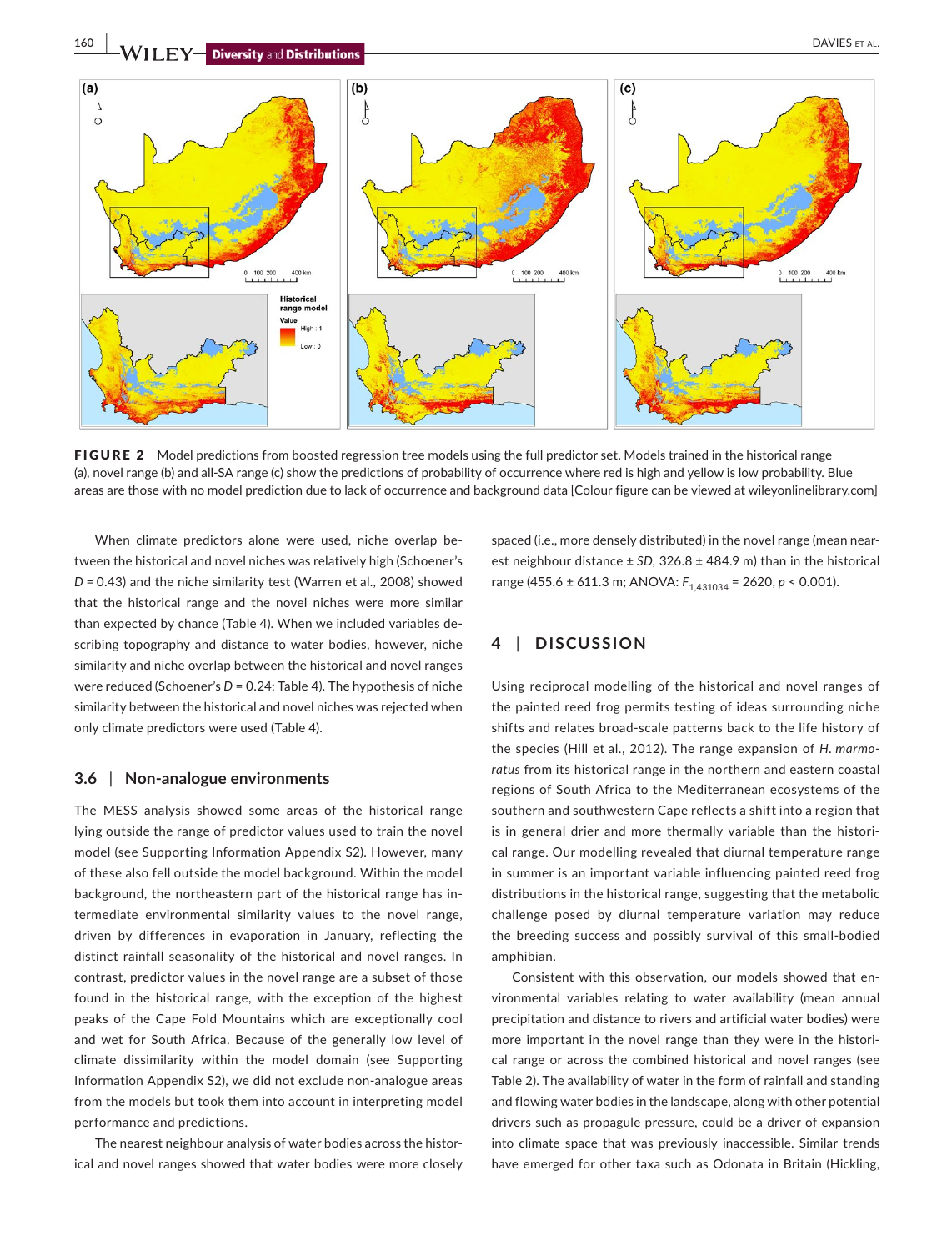

FIGURE 2 Model predictions from boosted regression tree models using the full predictor set. Models trained in the historical range (a), novel range (b) and all-SA range (c) show the predictions of probability of occurrence where red is high and yellow is low probability. Blue areas are those with no model prediction due to lack of occurrence and background data [Colour figure can be viewed at [wileyonlinelibrary.com\]](www.wileyonlinelibrary.com)

When climate predictors alone were used, niche overlap between the historical and novel niches was relatively high (Schoener's *D* = 0.43) and the niche similarity test (Warren et al., 2008) showed that the historical range and the novel niches were more similar than expected by chance (Table 4). When we included variables describing topography and distance to water bodies, however, niche similarity and niche overlap between the historical and novel ranges were reduced (Schoener's *D* = 0.24; Table 4). The hypothesis of niche similarity between the historical and novel niches was rejected when only climate predictors were used (Table 4).

# **3.6** | **Non-analogue environments**

The MESS analysis showed some areas of the historical range lying outside the range of predictor values used to train the novel model (see Supporting Information Appendix S2). However, many of these also fell outside the model background. Within the model background, the northeastern part of the historical range has intermediate environmental similarity values to the novel range, driven by differences in evaporation in January, reflecting the distinct rainfall seasonality of the historical and novel ranges. In contrast, predictor values in the novel range are a subset of those found in the historical range, with the exception of the highest peaks of the Cape Fold Mountains which are exceptionally cool and wet for South Africa. Because of the generally low level of climate dissimilarity within the model domain (see Supporting Information Appendix S2), we did not exclude non-analogue areas from the models but took them into account in interpreting model performance and predictions.

The nearest neighbour analysis of water bodies across the historical and novel ranges showed that water bodies were more closely spaced (i.e., more densely distributed) in the novel range (mean nearest neighbour distance ± *SD*, 326.8 ± 484.9 m) than in the historical range (455.6 ± 611.3 m; ANOVA:  $F_{1,431034}$  = 2620, *p* < 0.001).

# **4** | **DISCUSSION**

Using reciprocal modelling of the historical and novel ranges of the painted reed frog permits testing of ideas surrounding niche shifts and relates broad-scale patterns back to the life history of the species (Hill et al., 2012). The range expansion of *H. marmoratus* from its historical range in the northern and eastern coastal regions of South Africa to the Mediterranean ecosystems of the southern and southwestern Cape reflects a shift into a region that is in general drier and more thermally variable than the historical range. Our modelling revealed that diurnal temperature range in summer is an important variable influencing painted reed frog distributions in the historical range, suggesting that the metabolic challenge posed by diurnal temperature variation may reduce the breeding success and possibly survival of this small-bodied amphibian.

Consistent with this observation, our models showed that environmental variables relating to water availability (mean annual precipitation and distance to rivers and artificial water bodies) were more important in the novel range than they were in the historical range or across the combined historical and novel ranges (see Table 2). The availability of water in the form of rainfall and standing and flowing water bodies in the landscape, along with other potential drivers such as propagule pressure, could be a driver of expansion into climate space that was previously inaccessible. Similar trends have emerged for other taxa such as Odonata in Britain (Hickling,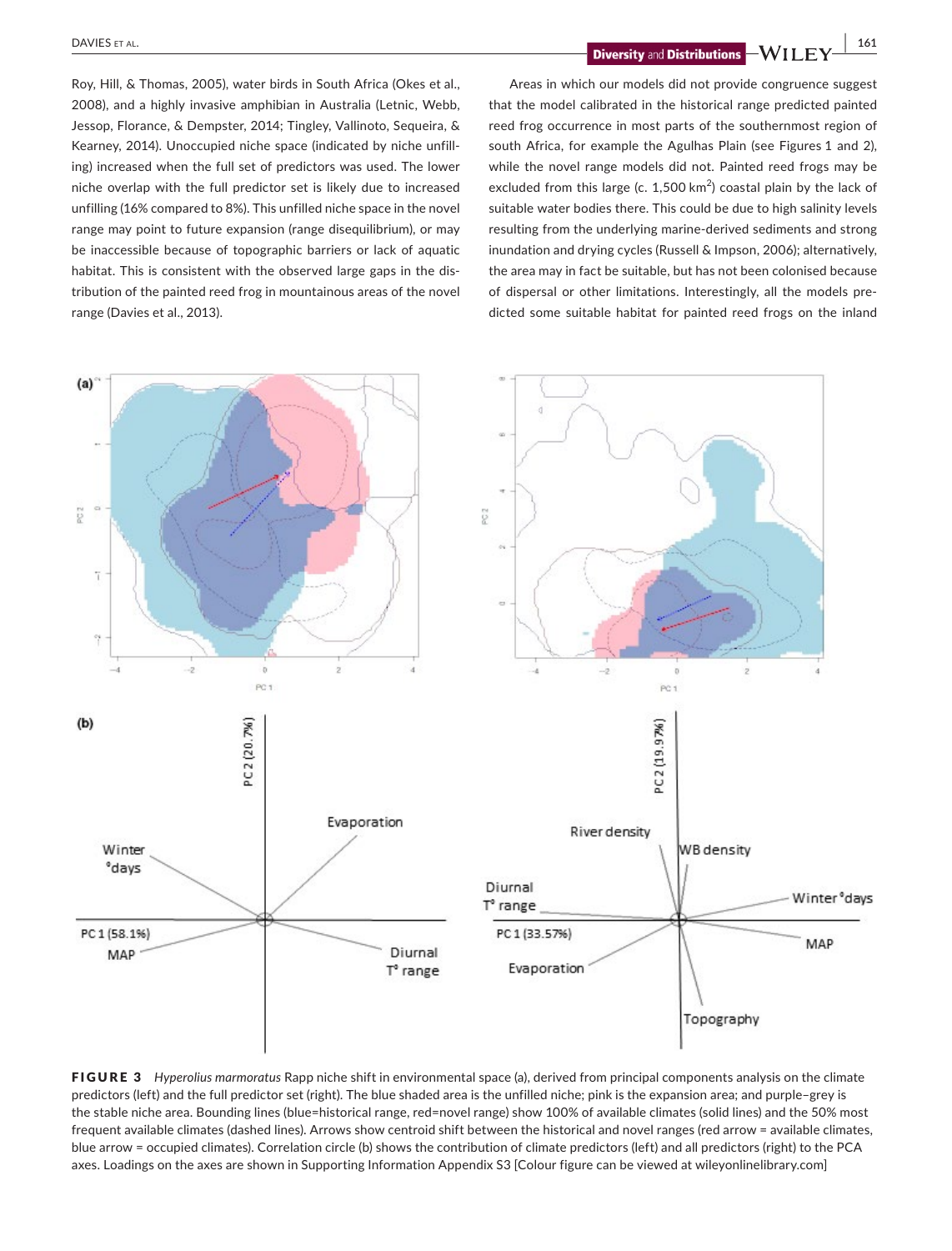**Diversity** and **Distributions**  $\rightarrow$  **WILEY**  $\rightarrow$  161

Roy, Hill, & Thomas, 2005), water birds in South Africa (Okes et al., 2008), and a highly invasive amphibian in Australia (Letnic, Webb, Jessop, Florance, & Dempster, 2014; Tingley, Vallinoto, Sequeira, & Kearney, 2014). Unoccupied niche space (indicated by niche unfilling) increased when the full set of predictors was used. The lower niche overlap with the full predictor set is likely due to increased unfilling (16% compared to 8%). This unfilled niche space in the novel range may point to future expansion (range disequilibrium), or may be inaccessible because of topographic barriers or lack of aquatic habitat. This is consistent with the observed large gaps in the distribution of the painted reed frog in mountainous areas of the novel range (Davies et al., 2013).

Areas in which our models did not provide congruence suggest that the model calibrated in the historical range predicted painted reed frog occurrence in most parts of the southernmost region of south Africa, for example the Agulhas Plain (see Figures 1 and 2), while the novel range models did not. Painted reed frogs may be excluded from this large (c.  $1,500 \text{ km}^2$ ) coastal plain by the lack of suitable water bodies there. This could be due to high salinity levels resulting from the underlying marine-derived sediments and strong inundation and drying cycles (Russell & Impson, 2006); alternatively, the area may in fact be suitable, but has not been colonised because of dispersal or other limitations. Interestingly, all the models predicted some suitable habitat for painted reed frogs on the inland



FIGURE 3 *Hyperolius marmoratus* Rapp niche shift in environmental space (a), derived from principal components analysis on the climate predictors (left) and the full predictor set (right). The blue shaded area is the unfilled niche; pink is the expansion area; and purple–grey is the stable niche area. Bounding lines (blue=historical range, red=novel range) show 100% of available climates (solid lines) and the 50% most frequent available climates (dashed lines). Arrows show centroid shift between the historical and novel ranges (red arrow = available climates, blue arrow = occupied climates). Correlation circle (b) shows the contribution of climate predictors (left) and all predictors (right) to the PCA axes. Loadings on the axes are shown in Supporting Information Appendix S3 [Colour figure can be viewed at [wileyonlinelibrary.com\]](www.wileyonlinelibrary.com)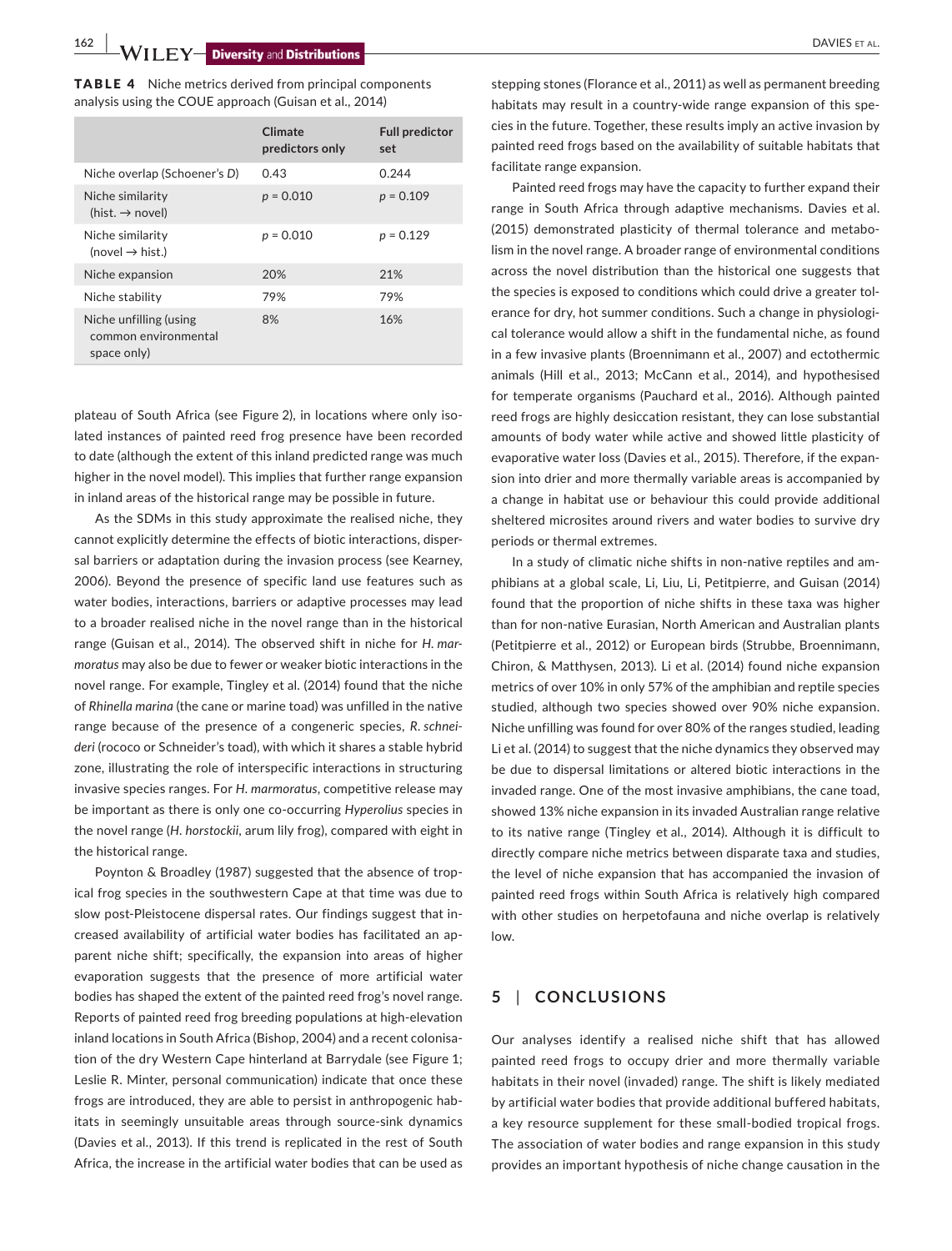| <b>TABLE 4</b> Niche metrics derived from principal components |
|----------------------------------------------------------------|
| analysis using the COUE approach (Guisan et al., 2014)         |

|                                                               | Climate<br>predictors only | <b>Full predictor</b><br>set |
|---------------------------------------------------------------|----------------------------|------------------------------|
| Niche overlap (Schoener's D)                                  | 0.43                       | 0.244                        |
| Niche similarity<br>(hist. $\rightarrow$ novel)               | $p = 0.010$                | $p = 0.109$                  |
| Niche similarity<br>(novel $\rightarrow$ hist.)               | $p = 0.010$                | $p = 0.129$                  |
| Niche expansion                                               | 20%                        | 21%                          |
| Niche stability                                               | 79%                        | 79%                          |
| Niche unfilling (using<br>common environmental<br>space only) | 8%                         | 16%                          |

plateau of South Africa (see Figure 2), in locations where only isolated instances of painted reed frog presence have been recorded to date (although the extent of this inland predicted range was much higher in the novel model). This implies that further range expansion in inland areas of the historical range may be possible in future.

As the SDMs in this study approximate the realised niche, they cannot explicitly determine the effects of biotic interactions, dispersal barriers or adaptation during the invasion process (see Kearney, 2006). Beyond the presence of specific land use features such as water bodies, interactions, barriers or adaptive processes may lead to a broader realised niche in the novel range than in the historical range (Guisan et al., 2014). The observed shift in niche for *H. marmoratus* may also be due to fewer or weaker biotic interactions in the novel range. For example, Tingley et al. (2014) found that the niche of *Rhinella marina* (the cane or marine toad) was unfilled in the native range because of the presence of a congeneric species, *R. schneideri* (rococo or Schneider's toad), with which it shares a stable hybrid zone, illustrating the role of interspecific interactions in structuring invasive species ranges. For *H. marmoratus*, competitive release may be important as there is only one co-occurring *Hyperolius* species in the novel range (*H. horstockii*, arum lily frog), compared with eight in the historical range.

Poynton & Broadley (1987) suggested that the absence of tropical frog species in the southwestern Cape at that time was due to slow post-Pleistocene dispersal rates. Our findings suggest that increased availability of artificial water bodies has facilitated an apparent niche shift; specifically, the expansion into areas of higher evaporation suggests that the presence of more artificial water bodies has shaped the extent of the painted reed frog's novel range. Reports of painted reed frog breeding populations at high-elevation inland locations in South Africa (Bishop, 2004) and a recent colonisation of the dry Western Cape hinterland at Barrydale (see Figure 1; Leslie R. Minter, personal communication) indicate that once these frogs are introduced, they are able to persist in anthropogenic habitats in seemingly unsuitable areas through source-sink dynamics (Davies et al., 2013). If this trend is replicated in the rest of South Africa, the increase in the artificial water bodies that can be used as

stepping stones (Florance et al., 2011) as well as permanent breeding habitats may result in a country-wide range expansion of this species in the future. Together, these results imply an active invasion by painted reed frogs based on the availability of suitable habitats that facilitate range expansion.

Painted reed frogs may have the capacity to further expand their range in South Africa through adaptive mechanisms. Davies et al. (2015) demonstrated plasticity of thermal tolerance and metabolism in the novel range. A broader range of environmental conditions across the novel distribution than the historical one suggests that the species is exposed to conditions which could drive a greater tolerance for dry, hot summer conditions. Such a change in physiological tolerance would allow a shift in the fundamental niche, as found in a few invasive plants (Broennimann et al., 2007) and ectothermic animals (Hill et al., 2013; McCann et al., 2014), and hypothesised for temperate organisms (Pauchard et al., 2016). Although painted reed frogs are highly desiccation resistant, they can lose substantial amounts of body water while active and showed little plasticity of evaporative water loss (Davies et al., 2015). Therefore, if the expansion into drier and more thermally variable areas is accompanied by a change in habitat use or behaviour this could provide additional sheltered microsites around rivers and water bodies to survive dry periods or thermal extremes.

In a study of climatic niche shifts in non-native reptiles and amphibians at a global scale, Li, Liu, Li, Petitpierre, and Guisan (2014) found that the proportion of niche shifts in these taxa was higher than for non-native Eurasian, North American and Australian plants (Petitpierre et al., 2012) or European birds (Strubbe, Broennimann, Chiron, & Matthysen, 2013). Li et al. (2014) found niche expansion metrics of over 10% in only 57% of the amphibian and reptile species studied, although two species showed over 90% niche expansion. Niche unfilling was found for over 80% of the ranges studied, leading Li et al. (2014) to suggest that the niche dynamics they observed may be due to dispersal limitations or altered biotic interactions in the invaded range. One of the most invasive amphibians, the cane toad, showed 13% niche expansion in its invaded Australian range relative to its native range (Tingley et al., 2014). Although it is difficult to directly compare niche metrics between disparate taxa and studies, the level of niche expansion that has accompanied the invasion of painted reed frogs within South Africa is relatively high compared with other studies on herpetofauna and niche overlap is relatively low.

# **5** | **CONCLUSIONS**

Our analyses identify a realised niche shift that has allowed painted reed frogs to occupy drier and more thermally variable habitats in their novel (invaded) range. The shift is likely mediated by artificial water bodies that provide additional buffered habitats, a key resource supplement for these small-bodied tropical frogs. The association of water bodies and range expansion in this study provides an important hypothesis of niche change causation in the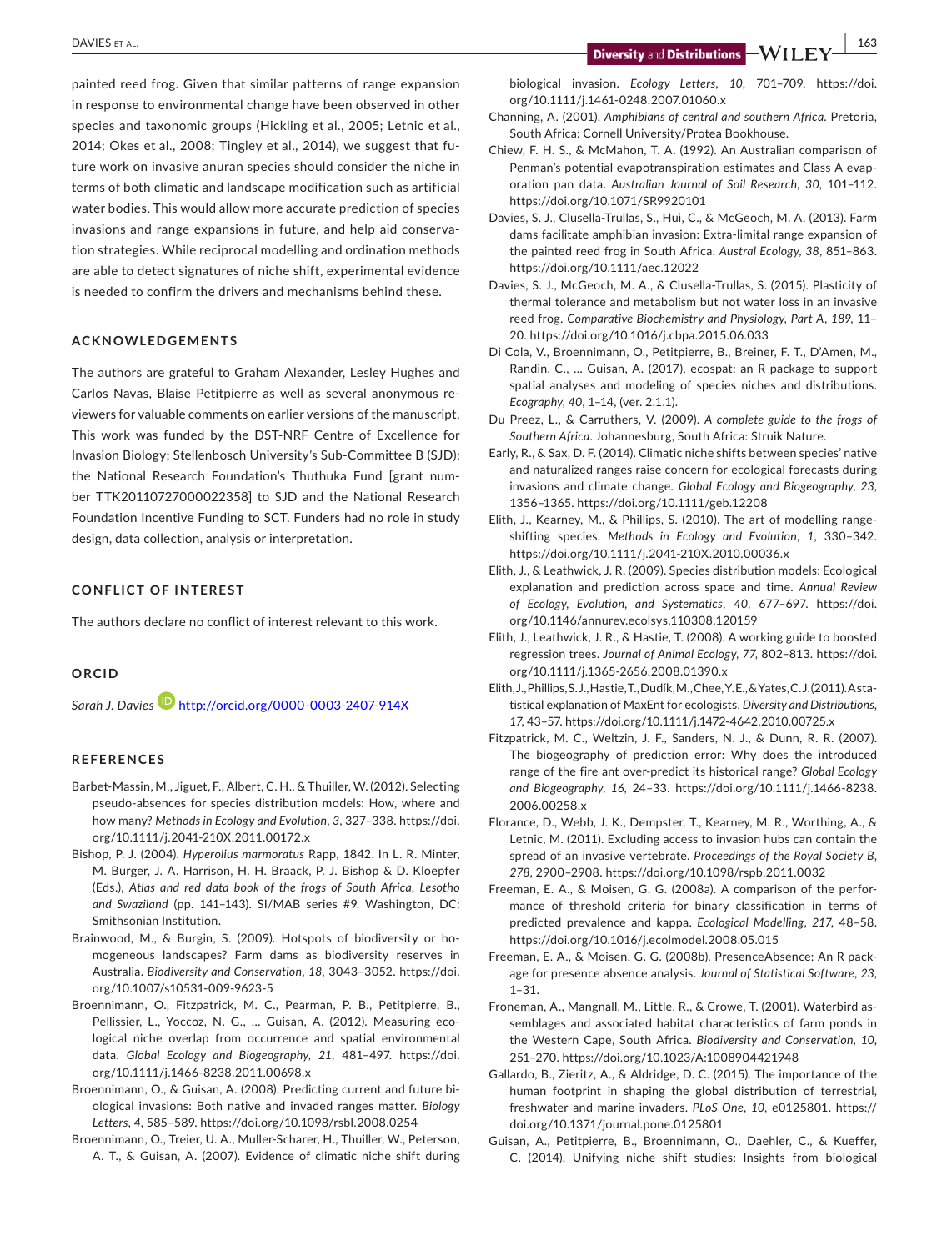painted reed frog. Given that similar patterns of range expansion in response to environmental change have been observed in other species and taxonomic groups (Hickling et al., 2005; Letnic et al., 2014; Okes et al., 2008; Tingley et al., 2014), we suggest that future work on invasive anuran species should consider the niche in terms of both climatic and landscape modification such as artificial water bodies. This would allow more accurate prediction of species invasions and range expansions in future, and help aid conservation strategies. While reciprocal modelling and ordination methods are able to detect signatures of niche shift, experimental evidence is needed to confirm the drivers and mechanisms behind these.

#### **ACKNOWLEDGEMENTS**

The authors are grateful to Graham Alexander, Lesley Hughes and Carlos Navas, Blaise Petitpierre as well as several anonymous reviewers for valuable comments on earlier versions of the manuscript. This work was funded by the DST-NRF Centre of Excellence for Invasion Biology; Stellenbosch University's Sub-Committee B (SJD); the National Research Foundation's Thuthuka Fund [grant number TTK20110727000022358] to SJD and the National Research Foundation Incentive Funding to SCT. Funders had no role in study design, data collection, analysis or interpretation.

### **CONFLICT OF INTEREST**

The authors declare no conflict of interest relevant to this work.

### **ORCID**

*Sarah J. Davie[s](http://orcid.org/0000-0003-2407-914X)* <http://orcid.org/0000-0003-2407-914X>

#### **REFERENCES**

- Barbet-Massin, M., Jiguet, F., Albert, C. H., & Thuiller, W. (2012). Selecting pseudo-absences for species distribution models: How, where and how many? *Methods in Ecology and Evolution*, *3*, 327–338. [https://doi.](https://doi.org/10.1111/j.2041-210X.2011.00172.x) [org/10.1111/j.2041-210X.2011.00172.x](https://doi.org/10.1111/j.2041-210X.2011.00172.x)
- Bishop, P. J. (2004). *Hyperolius marmoratus* Rapp, 1842. In L. R. Minter, M. Burger, J. A. Harrison, H. H. Braack, P. J. Bishop & D. Kloepfer (Eds.), *Atlas and red data book of the frogs of South Africa, Lesotho and Swaziland* (pp. 141–143). SI/MAB series #9. Washington, DC: Smithsonian Institution.
- Brainwood, M., & Burgin, S. (2009). Hotspots of biodiversity or homogeneous landscapes? Farm dams as biodiversity reserves in Australia. *Biodiversity and Conservation*, *18*, 3043–3052. [https://doi.](https://doi.org/10.1007/s10531-009-9623-5) [org/10.1007/s10531-009-9623-5](https://doi.org/10.1007/s10531-009-9623-5)
- Broennimann, O., Fitzpatrick, M. C., Pearman, P. B., Petitpierre, B., Pellissier, L., Yoccoz, N. G., … Guisan, A. (2012). Measuring ecological niche overlap from occurrence and spatial environmental data. *Global Ecology and Biogeography*, *21*, 481–497. [https://doi.](https://doi.org/10.1111/j.1466-8238.2011.00698.x) [org/10.1111/j.1466-8238.2011.00698.x](https://doi.org/10.1111/j.1466-8238.2011.00698.x)
- Broennimann, O., & Guisan, A. (2008). Predicting current and future biological invasions: Both native and invaded ranges matter. *Biology Letters*, *4*, 585–589.<https://doi.org/10.1098/rsbl.2008.0254>
- Broennimann, O., Treier, U. A., Muller-Scharer, H., Thuiller, W., Peterson, A. T., & Guisan, A. (2007). Evidence of climatic niche shift during

biological invasion. *Ecology Letters*, *10*, 701–709. [https://doi.](https://doi.org/10.1111/j.1461-0248.2007.01060.x) [org/10.1111/j.1461-0248.2007.01060.x](https://doi.org/10.1111/j.1461-0248.2007.01060.x)

- Channing, A. (2001). *Amphibians of central and southern Africa*. Pretoria, South Africa: Cornell University/Protea Bookhouse.
- Chiew, F. H. S., & McMahon, T. A. (1992). An Australian comparison of Penman's potential evapotranspiration estimates and Class A evaporation pan data. *Australian Journal of Soil Research*, *30*, 101–112. <https://doi.org/10.1071/SR9920101>
- Davies, S. J., Clusella-Trullas, S., Hui, C., & McGeoch, M. A. (2013). Farm dams facilitate amphibian invasion: Extra-limital range expansion of the painted reed frog in South Africa. *Austral Ecology*, *38*, 851–863. <https://doi.org/10.1111/aec.12022>
- Davies, S. J., McGeoch, M. A., & Clusella-Trullas, S. (2015). Plasticity of thermal tolerance and metabolism but not water loss in an invasive reed frog. *Comparative Biochemistry and Physiology, Part A*, *189*, 11– 20.<https://doi.org/10.1016/j.cbpa.2015.06.033>
- Di Cola, V., Broennimann, O., Petitpierre, B., Breiner, F. T., D'Amen, M., Randin, C., … Guisan, A. (2017). ecospat: an R package to support spatial analyses and modeling of species niches and distributions. *Ecography*, *40*, 1–14, (ver. 2.1.1).
- Du Preez, L., & Carruthers, V. (2009). *A complete guide to the frogs of Southern Africa*. Johannesburg, South Africa: Struik Nature.
- Early, R., & Sax, D. F. (2014). Climatic niche shifts between species' native and naturalized ranges raise concern for ecological forecasts during invasions and climate change. *Global Ecology and Biogeography*, *23*, 1356–1365.<https://doi.org/10.1111/geb.12208>
- Elith, J., Kearney, M., & Phillips, S. (2010). The art of modelling rangeshifting species. *Methods in Ecology and Evolution*, *1*, 330–342. <https://doi.org/10.1111/j.2041-210X.2010.00036.x>
- Elith, J., & Leathwick, J. R. (2009). Species distribution models: Ecological explanation and prediction across space and time. *Annual Review of Ecology, Evolution, and Systematics*, *40*, 677–697. [https://doi.](https://doi.org/10.1146/annurev.ecolsys.110308.120159) [org/10.1146/annurev.ecolsys.110308.120159](https://doi.org/10.1146/annurev.ecolsys.110308.120159)
- Elith, J., Leathwick, J. R., & Hastie, T. (2008). A working guide to boosted regression trees. *Journal of Animal Ecology*, *77*, 802–813. [https://doi.](https://doi.org/10.1111/j.1365-2656.2008.01390.x) [org/10.1111/j.1365-2656.2008.01390.x](https://doi.org/10.1111/j.1365-2656.2008.01390.x)
- Elith, J., Phillips, S. J., Hastie, T., Dudík, M., Chee, Y. E., & Yates, C. J. (2011). A statistical explanation of MaxEnt for ecologists. *Diversity and Distributions*, *17*, 43–57. <https://doi.org/10.1111/j.1472-4642.2010.00725.x>
- Fitzpatrick, M. C., Weltzin, J. F., Sanders, N. J., & Dunn, R. R. (2007). The biogeography of prediction error: Why does the introduced range of the fire ant over-predict its historical range? *Global Ecology and Biogeography*, *16*, 24–33. [https://doi.org/10.1111/j.1466-8238.](https://doi.org/10.1111/j.1466-8238.2006.00258.x) [2006.00258.x](https://doi.org/10.1111/j.1466-8238.2006.00258.x)
- Florance, D., Webb, J. K., Dempster, T., Kearney, M. R., Worthing, A., & Letnic, M. (2011). Excluding access to invasion hubs can contain the spread of an invasive vertebrate. *Proceedings of the Royal Society B*, *278*, 2900–2908. <https://doi.org/10.1098/rspb.2011.0032>
- Freeman, E. A., & Moisen, G. G. (2008a). A comparison of the performance of threshold criteria for binary classification in terms of predicted prevalence and kappa. *Ecological Modelling*, *217*, 48–58. <https://doi.org/10.1016/j.ecolmodel.2008.05.015>
- Freeman, E. A., & Moisen, G. G. (2008b). PresenceAbsence: An R package for presence absence analysis. *Journal of Statistical Software*, *23*, 1–31.
- Froneman, A., Mangnall, M., Little, R., & Crowe, T. (2001). Waterbird assemblages and associated habitat characteristics of farm ponds in the Western Cape, South Africa. *Biodiversity and Conservation*, *10*, 251–270. <https://doi.org/10.1023/A:1008904421948>
- Gallardo, B., Zieritz, A., & Aldridge, D. C. (2015). The importance of the human footprint in shaping the global distribution of terrestrial, freshwater and marine invaders. *PLoS One*, *10*, e0125801. [https://](https://doi.org/10.1371/journal.pone.0125801) [doi.org/10.1371/journal.pone.0125801](https://doi.org/10.1371/journal.pone.0125801)
- Guisan, A., Petitpierre, B., Broennimann, O., Daehler, C., & Kueffer, C. (2014). Unifying niche shift studies: Insights from biological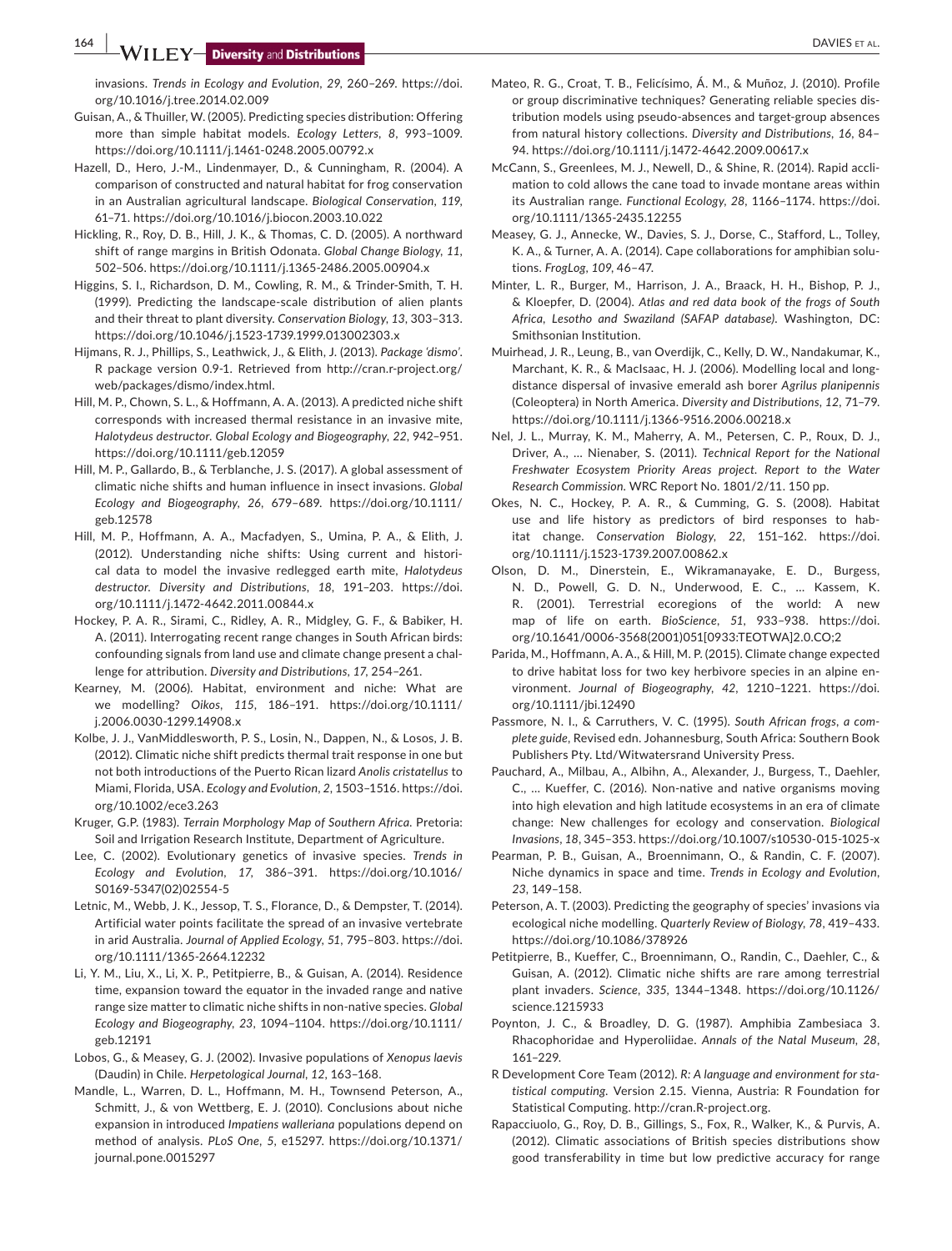**164 WILEY-Diversity** and **Distributions** 

invasions. *Trends in Ecology and Evolution*, *29*, 260–269. [https://doi.](https://doi.org/10.1016/j.tree.2014.02.009) [org/10.1016/j.tree.2014.02.009](https://doi.org/10.1016/j.tree.2014.02.009)

- Guisan, A., & Thuiller, W. (2005). Predicting species distribution: Offering more than simple habitat models. *Ecology Letters*, *8*, 993–1009. <https://doi.org/10.1111/j.1461-0248.2005.00792.x>
- Hazell, D., Hero, J.-M., Lindenmayer, D., & Cunningham, R. (2004). A comparison of constructed and natural habitat for frog conservation in an Australian agricultural landscape. *Biological Conservation*, *119*, 61–71.<https://doi.org/10.1016/j.biocon.2003.10.022>
- Hickling, R., Roy, D. B., Hill, J. K., & Thomas, C. D. (2005). A northward shift of range margins in British Odonata. *Global Change Biology*, *11*, 502–506. <https://doi.org/10.1111/j.1365-2486.2005.00904.x>
- Higgins, S. I., Richardson, D. M., Cowling, R. M., & Trinder-Smith, T. H. (1999). Predicting the landscape-scale distribution of alien plants and their threat to plant diversity. *Conservation Biology*, *13*, 303–313. <https://doi.org/10.1046/j.1523-1739.1999.013002303.x>
- Hijmans, R. J., Phillips, S., Leathwick, J., & Elith, J. (2013). *Package 'dismo'*. R package version 0.9-1. Retrieved from [http://cran.r-project.org/](http://cran.r-project.org/web/packages/dismo/index.html) [web/packages/dismo/index.html](http://cran.r-project.org/web/packages/dismo/index.html).
- Hill, M. P., Chown, S. L., & Hoffmann, A. A. (2013). A predicted niche shift corresponds with increased thermal resistance in an invasive mite, *Halotydeus destructor*. *Global Ecology and Biogeography*, *22*, 942–951. <https://doi.org/10.1111/geb.12059>
- Hill, M. P., Gallardo, B., & Terblanche, J. S. (2017). A global assessment of climatic niche shifts and human influence in insect invasions. *Global Ecology and Biogeography*, *26*, 679–689. [https://doi.org/10.1111/](https://doi.org/10.1111/geb.12578) [geb.12578](https://doi.org/10.1111/geb.12578)
- Hill, M. P., Hoffmann, A. A., Macfadyen, S., Umina, P. A., & Elith, J. (2012). Understanding niche shifts: Using current and historical data to model the invasive redlegged earth mite, *Halotydeus destructor*. *Diversity and Distributions*, *18*, 191–203. [https://doi.](https://doi.org/10.1111/j.1472-4642.2011.00844.x) [org/10.1111/j.1472-4642.2011.00844.x](https://doi.org/10.1111/j.1472-4642.2011.00844.x)
- Hockey, P. A. R., Sirami, C., Ridley, A. R., Midgley, G. F., & Babiker, H. A. (2011). Interrogating recent range changes in South African birds: confounding signals from land use and climate change present a challenge for attribution. *Diversity and Distributions*, *17*, 254–261.
- Kearney, M. (2006). Habitat, environment and niche: What are we modelling? *Oikos*, *115*, 186–191. [https://doi.org/10.1111/](https://doi.org/10.1111/j.2006.0030-1299.14908.x) [j.2006.0030-1299.14908.x](https://doi.org/10.1111/j.2006.0030-1299.14908.x)
- Kolbe, J. J., VanMiddlesworth, P. S., Losin, N., Dappen, N., & Losos, J. B. (2012). Climatic niche shift predicts thermal trait response in one but not both introductions of the Puerto Rican lizard *Anolis cristatellus* to Miami, Florida, USA. *Ecology and Evolution*, *2*, 1503–1516. [https://doi.](https://doi.org/10.1002/ece3.263) [org/10.1002/ece3.263](https://doi.org/10.1002/ece3.263)
- Kruger, G.P. (1983). *Terrain Morphology Map of Southern Africa*. Pretoria: Soil and Irrigation Research Institute, Department of Agriculture.
- Lee, C. (2002). Evolutionary genetics of invasive species. *Trends in Ecology and Evolution*, *17*, 386–391. [https://doi.org/10.1016/](https://doi.org/10.1016/S0169-5347(02)02554-5) [S0169-5347\(02\)02554-5](https://doi.org/10.1016/S0169-5347(02)02554-5)
- Letnic, M., Webb, J. K., Jessop, T. S., Florance, D., & Dempster, T. (2014). Artificial water points facilitate the spread of an invasive vertebrate in arid Australia. *Journal of Applied Ecology*, *51*, 795–803. [https://doi.](https://doi.org/10.1111/1365-2664.12232) [org/10.1111/1365-2664.12232](https://doi.org/10.1111/1365-2664.12232)
- Li, Y. M., Liu, X., Li, X. P., Petitpierre, B., & Guisan, A. (2014). Residence time, expansion toward the equator in the invaded range and native range size matter to climatic niche shifts in non-native species. *Global Ecology and Biogeography*, *23*, 1094–1104. [https://doi.org/10.1111/](https://doi.org/10.1111/geb.12191) [geb.12191](https://doi.org/10.1111/geb.12191)
- Lobos, G., & Measey, G. J. (2002). Invasive populations of *Xenopus laevis* (Daudin) in Chile. *Herpetological Journal*, *12*, 163–168.
- Mandle, L., Warren, D. L., Hoffmann, M. H., Townsend Peterson, A., Schmitt, J., & von Wettberg, E. J. (2010). Conclusions about niche expansion in introduced *Impatiens walleriana* populations depend on method of analysis. *PLoS One*, *5*, e15297. [https://doi.org/10.1371/](https://doi.org/10.1371/journal.pone.0015297) [journal.pone.0015297](https://doi.org/10.1371/journal.pone.0015297)
- Mateo, R. G., Croat, T. B., Felicísimo, Á. M., & Muñoz, J. (2010). Profile or group discriminative techniques? Generating reliable species distribution models using pseudo-absences and target-group absences from natural history collections. *Diversity and Distributions*, *16*, 84– 94. <https://doi.org/10.1111/j.1472-4642.2009.00617.x>
- McCann, S., Greenlees, M. J., Newell, D., & Shine, R. (2014). Rapid acclimation to cold allows the cane toad to invade montane areas within its Australian range. *Functional Ecology*, *28*, 1166–1174. [https://doi.](https://doi.org/10.1111/1365-2435.12255) [org/10.1111/1365-2435.12255](https://doi.org/10.1111/1365-2435.12255)
- Measey, G. J., Annecke, W., Davies, S. J., Dorse, C., Stafford, L., Tolley, K. A., & Turner, A. A. (2014). Cape collaborations for amphibian solutions. *FrogLog*, *109*, 46–47.
- Minter, L. R., Burger, M., Harrison, J. A., Braack, H. H., Bishop, P. J., & Kloepfer, D. (2004). *Atlas and red data book of the frogs of South Africa, Lesotho and Swaziland (SAFAP database)*. Washington, DC: Smithsonian Institution.
- Muirhead, J. R., Leung, B., van Overdijk, C., Kelly, D. W., Nandakumar, K., Marchant, K. R., & MacIsaac, H. J. (2006). Modelling local and longdistance dispersal of invasive emerald ash borer *Agrilus planipennis* (Coleoptera) in North America. *Diversity and Distributions*, *12*, 71–79. <https://doi.org/10.1111/j.1366-9516.2006.00218.x>
- Nel, J. L., Murray, K. M., Maherry, A. M., Petersen, C. P., Roux, D. J., Driver, A., … Nienaber, S. (2011). *Technical Report for the National Freshwater Ecosystem Priority Areas project. Report to the Water Research Commission*. WRC Report No. 1801/2/11. 150 pp.
- Okes, N. C., Hockey, P. A. R., & Cumming, G. S. (2008). Habitat use and life history as predictors of bird responses to habitat change. *Conservation Biology*, *22*, 151–162. [https://doi.](https://doi.org/10.1111/j.1523-1739.2007.00862.x) [org/10.1111/j.1523-1739.2007.00862.x](https://doi.org/10.1111/j.1523-1739.2007.00862.x)
- Olson, D. M., Dinerstein, E., Wikramanayake, E. D., Burgess, N. D., Powell, G. D. N., Underwood, E. C., … Kassem, K. R. (2001). Terrestrial ecoregions of the world: A new map of life on earth. *BioScience*, *51*, 933–938. [https://doi.](https://doi.org/10.1641/0006-3568(2001)051[0933:TEOTWA]2.0.CO;2) [org/10.1641/0006-3568\(2001\)051\[0933:TEOTWA\]2.0.CO;2](https://doi.org/10.1641/0006-3568(2001)051[0933:TEOTWA]2.0.CO;2)
- Parida, M., Hoffmann, A. A., & Hill, M. P. (2015). Climate change expected to drive habitat loss for two key herbivore species in an alpine environment. *Journal of Biogeography*, *42*, 1210–1221. [https://doi.](https://doi.org/10.1111/jbi.12490) [org/10.1111/jbi.12490](https://doi.org/10.1111/jbi.12490)
- Passmore, N. I., & Carruthers, V. C. (1995). *South African frogs, a complete guide*, Revised edn. Johannesburg, South Africa: Southern Book Publishers Pty. Ltd/Witwatersrand University Press.
- Pauchard, A., Milbau, A., Albihn, A., Alexander, J., Burgess, T., Daehler, C., … Kueffer, C. (2016). Non-native and native organisms moving into high elevation and high latitude ecosystems in an era of climate change: New challenges for ecology and conservation. *Biological Invasions*, *18*, 345–353. <https://doi.org/10.1007/s10530-015-1025-x>
- Pearman, P. B., Guisan, A., Broennimann, O., & Randin, C. F. (2007). Niche dynamics in space and time. *Trends in Ecology and Evolution*, *23*, 149–158.
- Peterson, A. T. (2003). Predicting the geography of species' invasions via ecological niche modelling. *Quarterly Review of Biology*, *78*, 419–433. <https://doi.org/10.1086/378926>
- Petitpierre, B., Kueffer, C., Broennimann, O., Randin, C., Daehler, C., & Guisan, A. (2012). Climatic niche shifts are rare among terrestrial plant invaders. *Science*, *335*, 1344–1348. [https://doi.org/10.1126/](https://doi.org/10.1126/science.1215933) [science.1215933](https://doi.org/10.1126/science.1215933)
- Poynton, J. C., & Broadley, D. G. (1987). Amphibia Zambesiaca 3. Rhacophoridae and Hyperoliidae. *Annals of the Natal Museum*, *28*, 161–229.
- R Development Core Team (2012). *R: A language and environment for statistical computing*. Version 2.15. Vienna, Austria: R Foundation for Statistical Computing. <http://cran.R-project.org>.
- Rapacciuolo, G., Roy, D. B., Gillings, S., Fox, R., Walker, K., & Purvis, A. (2012). Climatic associations of British species distributions show good transferability in time but low predictive accuracy for range